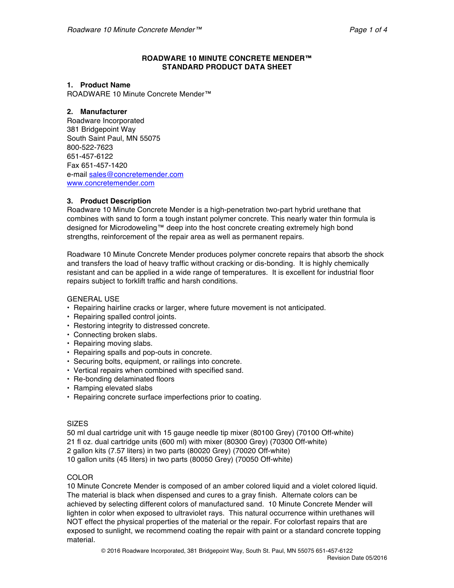## **ROADWARE 10 MINUTE CONCRETE MENDER™ STANDARD PRODUCT DATA SHEET**

### **1. Product Name**

ROADWARE 10 Minute Concrete Mender™

## **2. Manufacturer**

Roadware Incorporated 381 Bridgepoint Way South Saint Paul, MN 55075 800-522-7623 651-457-6122 Fax 651-457-1420 e-mail sales@concretemender.com www.concretemender.com

# **3. Product Description**

Roadware 10 Minute Concrete Mender is a high-penetration two-part hybrid urethane that combines with sand to form a tough instant polymer concrete. This nearly water thin formula is designed for Microdoweling™ deep into the host concrete creating extremely high bond strengths, reinforcement of the repair area as well as permanent repairs.

Roadware 10 Minute Concrete Mender produces polymer concrete repairs that absorb the shock and transfers the load of heavy traffic without cracking or dis-bonding. It is highly chemically resistant and can be applied in a wide range of temperatures. It is excellent for industrial floor repairs subject to forklift traffic and harsh conditions.

GENERAL USE

- Repairing hairline cracks or larger, where future movement is not anticipated.
- Repairing spalled control joints.
- Restoring integrity to distressed concrete.
- Connecting broken slabs.
- Repairing moving slabs.
- Repairing spalls and pop-outs in concrete.
- Securing bolts, equipment, or railings into concrete.
- Vertical repairs when combined with specified sand.
- Re-bonding delaminated floors
- Ramping elevated slabs
- Repairing concrete surface imperfections prior to coating.

### **SIZES**

50 ml dual cartridge unit with 15 gauge needle tip mixer (80100 Grey) (70100 Off-white) 21 fl oz. dual cartridge units (600 ml) with mixer (80300 Grey) (70300 Off-white) 2 gallon kits (7.57 liters) in two parts (80020 Grey) (70020 Off-white) 10 gallon units (45 liters) in two parts (80050 Grey) (70050 Off-white)

# **COLOR**

10 Minute Concrete Mender is composed of an amber colored liquid and a violet colored liquid. The material is black when dispensed and cures to a gray finish. Alternate colors can be achieved by selecting different colors of manufactured sand. 10 Minute Concrete Mender will lighten in color when exposed to ultraviolet rays. This natural occurrence within urethanes will NOT effect the physical properties of the material or the repair. For colorfast repairs that are exposed to sunlight, we recommend coating the repair with paint or a standard concrete topping material.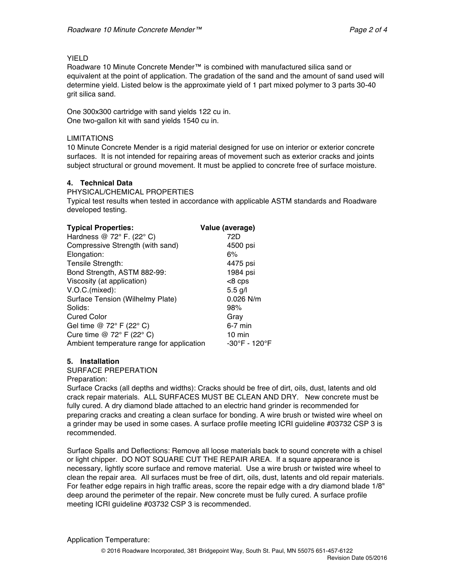## YIELD

Roadware 10 Minute Concrete Mender™ is combined with manufactured silica sand or equivalent at the point of application. The gradation of the sand and the amount of sand used will determine yield. Listed below is the approximate yield of 1 part mixed polymer to 3 parts 30-40 grit silica sand.

One 300x300 cartridge with sand yields 122 cu in. One two-gallon kit with sand yields 1540 cu in.

## LIMITATIONS

10 Minute Concrete Mender is a rigid material designed for use on interior or exterior concrete surfaces. It is not intended for repairing areas of movement such as exterior cracks and joints subject structural or ground movement. It must be applied to concrete free of surface moisture.

# **4. Technical Data**

PHYSICAL/CHEMICAL PROPERTIES

Typical test results when tested in accordance with applicable ASTM standards and Roadware developed testing.

| <b>Typical Properties:</b>                  | Value (average)  |
|---------------------------------------------|------------------|
| Hardness $@72°$ F. (22° C)                  | 72D              |
| Compressive Strength (with sand)            | 4500 psi         |
| Elongation:                                 | 6%               |
| Tensile Strength:                           | 4475 psi         |
| Bond Strength, ASTM 882-99:                 | 1984 psi         |
| Viscosity (at application)                  | $<8$ cps         |
| V.O.C.(mixed):                              | $5.5$ g/l        |
| Surface Tension (Wilhelmy Plate)            | 0.026 N/m        |
| Solids:                                     | 98%              |
| <b>Cured Color</b>                          | Gray             |
| Gel time @ 72° F (22° C)                    | $6-7$ min        |
| Cure time @ 72 $\degree$ F (22 $\degree$ C) | $10 \text{ min}$ |
| Ambient temperature range for application   | -30°F - 120°F    |

# **5. Installation**

SURFACE PREPERATION

Preparation:

Surface Cracks (all depths and widths): Cracks should be free of dirt, oils, dust, latents and old crack repair materials. ALL SURFACES MUST BE CLEAN AND DRY. New concrete must be fully cured. A dry diamond blade attached to an electric hand grinder is recommended for preparing cracks and creating a clean surface for bonding. A wire brush or twisted wire wheel on a grinder may be used in some cases. A surface profile meeting ICRI guideline #03732 CSP 3 is recommended.

Surface Spalls and Deflections: Remove all loose materials back to sound concrete with a chisel or light chipper. DO NOT SQUARE CUT THE REPAIR AREA. If a square appearance is necessary, lightly score surface and remove material. Use a wire brush or twisted wire wheel to clean the repair area. All surfaces must be free of dirt, oils, dust, latents and old repair materials. For feather edge repairs in high traffic areas, score the repair edge with a dry diamond blade 1/8" deep around the perimeter of the repair. New concrete must be fully cured. A surface profile meeting ICRI guideline #03732 CSP 3 is recommended.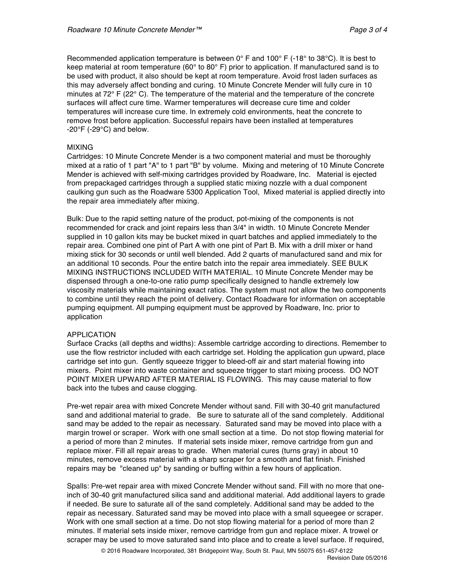Recommended application temperature is between  $0^{\circ}$  F and 100° F (-18° to 38°C). It is best to keep material at room temperature (60 $^{\circ}$  to 80 $^{\circ}$  F) prior to application. If manufactured sand is to be used with product, it also should be kept at room temperature. Avoid frost laden surfaces as this may adversely affect bonding and curing. 10 Minute Concrete Mender will fully cure in 10 minutes at 72° F (22° C). The temperature of the material and the temperature of the concrete surfaces will affect cure time. Warmer temperatures will decrease cure time and colder temperatures will increase cure time. In extremely cold environments, heat the concrete to remove frost before application. Successful repairs have been installed at temperatures  $-20^{\circ}$ F ( $-29^{\circ}$ C) and below.

### MIXING

Cartridges: 10 Minute Concrete Mender is a two component material and must be thoroughly mixed at a ratio of 1 part "A" to 1 part "B" by volume. Mixing and metering of 10 Minute Concrete Mender is achieved with self-mixing cartridges provided by Roadware, Inc. Material is ejected from prepackaged cartridges through a supplied static mixing nozzle with a dual component caulking gun such as the Roadware 5300 Application Tool, Mixed material is applied directly into the repair area immediately after mixing.

Bulk: Due to the rapid setting nature of the product, pot-mixing of the components is not recommended for crack and joint repairs less than 3/4" in width. 10 Minute Concrete Mender supplied in 10 gallon kits may be bucket mixed in quart batches and applied immediately to the repair area. Combined one pint of Part A with one pint of Part B. Mix with a drill mixer or hand mixing stick for 30 seconds or until well blended. Add 2 quarts of manufactured sand and mix for an additional 10 seconds. Pour the entire batch into the repair area immediately. SEE BULK MIXING INSTRUCTIONS INCLUDED WITH MATERIAL. 10 Minute Concrete Mender may be dispensed through a one-to-one ratio pump specifically designed to handle extremely low viscosity materials while maintaining exact ratios. The system must not allow the two components to combine until they reach the point of delivery. Contact Roadware for information on acceptable pumping equipment. All pumping equipment must be approved by Roadware, Inc. prior to application

### APPLICATION

Surface Cracks (all depths and widths): Assemble cartridge according to directions. Remember to use the flow restrictor included with each cartridge set. Holding the application gun upward, place cartridge set into gun. Gently squeeze trigger to bleed-off air and start material flowing into mixers. Point mixer into waste container and squeeze trigger to start mixing process. DO NOT POINT MIXER UPWARD AFTER MATERIAL IS FLOWING. This may cause material to flow back into the tubes and cause clogging.

Pre-wet repair area with mixed Concrete Mender without sand. Fill with 30-40 grit manufactured sand and additional material to grade. Be sure to saturate all of the sand completely. Additional sand may be added to the repair as necessary. Saturated sand may be moved into place with a margin trowel or scraper. Work with one small section at a time. Do not stop flowing material for a period of more than 2 minutes. If material sets inside mixer, remove cartridge from gun and replace mixer. Fill all repair areas to grade. When material cures (turns gray) in about 10 minutes, remove excess material with a sharp scraper for a smooth and flat finish. Finished repairs may be "cleaned up" by sanding or buffing within a few hours of application.

Spalls: Pre-wet repair area with mixed Concrete Mender without sand. Fill with no more that oneinch of 30-40 grit manufactured silica sand and additional material. Add additional layers to grade if needed. Be sure to saturate all of the sand completely. Additional sand may be added to the repair as necessary. Saturated sand may be moved into place with a small squeegee or scraper. Work with one small section at a time. Do not stop flowing material for a period of more than 2 minutes. If material sets inside mixer, remove cartridge from gun and replace mixer. A trowel or scraper may be used to move saturated sand into place and to create a level surface. If required,